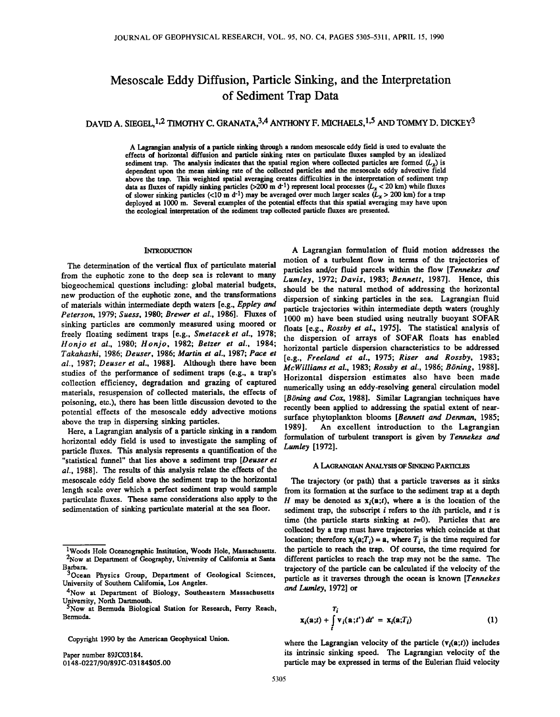# **Mesoscale Eddy Diffusion, Particle Sinking, and the Interpretation of Sediment Trap Data**

# DAVID A. SIEGEL, <sup>1,2</sup> TIMOTHY C. GRANATA, <sup>3,4</sup> ANTHONY F. MICHAELS, <sup>1,5</sup> AND TOMMY D. DICKEY<sup>3</sup>

**A Lagrangian analysis of a particle sinking through arandom mesoscale eddy field is used to evaluate the effects of horizontal diffusion and particle sinking rates on particulate fluxes sampled by an idealized**  sediment trap. The analysis indicates that the spatial region where collected particles are formed  $(L_x)$  is **dependent upon the mean sinking rate of the collected particles and the mesoscale eddy advective field**  above the trap. This weighted spatial averaging creates difficulties in the interpretation of sediment trap data as fluxes of rapidly sinking particles (>200 m d<sup>-1</sup>) represent local processes  $(L_x < 20 \text{ km})$  while fluxes of slower sinking particles (<10 m d<sup>-1</sup>) may be averaged over much larger scales ( $L_x > 200$  km) for a trap **deployed at 1000 m. Several examples of the potential effects that this spatial averaging may have upon**  the ecological interpretation of the sediment trap collected particle fluxes are presented.

**al., 1987; Deuser et al., 1988]. Although there have been studies of the performance of sediment traps (e.g., a trap's collection efficiency, degradation and grazing of captured materials, resuspension of collected materials, the effects of poisoning, etc.), there has been little discussion devoted to the** 

horizontal eddy field is used to investigate the sampling of <sup>rormulation</sup> of the *Lumley* [1972]. particle fluxes. This analysis represents a quantification of the **"statistical funnel" that lies above a sediment trap [Deuser et al., 1988].** The results of this analysis relate the effects of the A LAGRANGIAN ANALYSIS OF SINKING PARTICLES mesoscale eddy field above the sediment trap to the horizontal The trajectory (or path) that a particle traver **mesoscale eddy field above the sediment trap to the horizontal The trajectory (or path) that a particle traverses as it sinks**  length scale over which a perfect sediment trap would sample from its formation at the surface to the sediment trap at a depth particulate fluxes. These same considerations also apply to the  $H$  may be denoted as  $\mathbf{x} \cdot$ particulate fluxes. These same considerations also apply to the  $H$  may be denoted as  $\mathbf{x}_i(\mathbf{a};t)$ , where a is the location of the sedimentation of sinking particulate material at the sea floor. sediment trap, the sub

**Copyright 1990 by the American Geophysical Union.** 

**Paper number 89JC03184. 0148-0227/90/89JC-03184505.00** 

**INTRODUCTION A Lagrangian formulation of fluid motion addresses the motion of a turbulent flow in terms of the trajectories of**  The determination of the vertical flux of particulate material *particles and/or fluid parcels within the flow [Tennekes and*<br>from the euphotic zone to the deep sea is relevant to many *I* um/or 1973; Davis 1983; Paracti 1 from the euphotic zone to the deep sea is relevant to many Lumley, 1972; Davis, 1983; Bennett, 1987]. Hence, this biogeochemical questions including: global material budgets, the unit by the approximately of educations the biogeochemical questions including: global material budgets, should be the natural method of addressing the horizontal new production of the euphotic zone, and the transformations dispersion of sinking particles in the sea of materials within intermediate depth waters [e.g., Eppley and particle trajectories within intermediate depth waters (roughly<br>Peterson, 1979; Suess, 1980; Brewer et al., 1986]. Fluxes of 1000 m) have been studied using n sinking particles are commonly measured using moored or<br>freely floating sediment traps [e.g., Smetacek et al., 1978;<br>Honjo et al., 1980; Honjo, 1982; Betzer et al., 1984;<br>horizontal particle dispersion of the address to be **Honjo et al., 1980; Honjo, 1982; Betzer et al., 1984; horizontal particle dispersion characteristics to be addressed Takahashi, 1986; Deuser, 1986; Martin et al., 1987; Pace et**  potential effects of the mesoscale eddy advective motions recently been applied to addressing the spatial extent of hear-<br>surface phytoplankton blooms [Bennett and Denman, 1985;<br>above the trap in dispersing sinking particl **[e.g., Freeland et al., 1975; Riser and Rossby, 1983;**  McWilliams et al., 1983; Rossby et al., 1986; Böning, 1988]. **Horizontal dispersion estimates also have been made numerically using an eddy-resolving general circulation model**  [Böning and Cox, 1988]. Similar Lagrangian techniques have **recently been applied to addressing the spatial extent of near-**1989]. An excellent introduction to the Lagrangian Here, a Lagrangian analysis of a particle sinking in a random 1989]. An excellent introduction to the Lagrangian

sediment trap, the subscript *i* refers to the *i*th particle, and *t* is time (the particle starts sinking at  $t=0$ ). Particles that are **collected by a trap must have trajectories which coincide at that location; therefore**  $\mathbf{x}_i(\mathbf{a}; T_i) = \mathbf{a}$ **, where**  $T_i$  **is the time required for the particle to reach the trap.** Of course, the time required for <sup>1</sup>Woods Hole Oceanographic Institution, Woods Hole, Massachusetts. the particle to reach the trap. Of course, the time required for <sup>2</sup>Now at Department of Geography, University of California at Santa different particles **trajectory of the particle can be calculated if the velocity of the particle as it traverses through the ocean is known [Tennekes and Lurnley, 1972] or** 

$$
\mathbf{x}_i(\mathbf{a};t) + \int\limits_t^T \mathbf{v}_i(\mathbf{a};t') dt' = \mathbf{x}_i(\mathbf{a};T_i)
$$
 (1)

where the Lagrangian velocity of the particle  $(v_i(a;t))$  includes **its intrinsic sinking speed. The Lagrangian velocity of the particle may be expressed in terms of the Eulerian fluid velocity** 

<sup>&</sup>lt;sup>2</sup>Now at Department of Geography, University of California at Santa **Barbara.** 

**<sup>3</sup>Ocean Physics Group, Department of Geological Sciences, University of Southern California, Los Angeles.** 

**<sup>4</sup>Now at Department of Biology, Southeastern Massachusetts University, North Dartmouth.** 

**<sup>5</sup>Now at Bermuda Biological Station for Research, Ferry Reach, Bermuda.**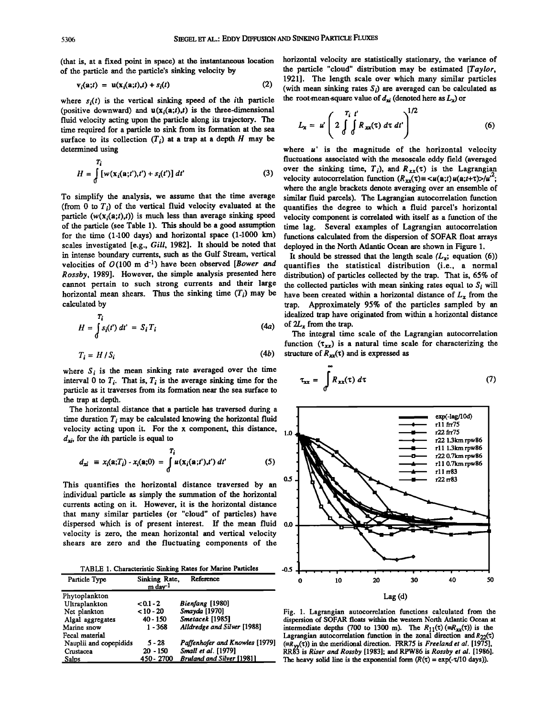**(that is, at a fixed point in space) at the instantaneous location of the particle and the particle's sinking velocity by** 

$$
v_i(a;t) = u(x_i(a;t),t) + s_i(t)
$$
 (2)

where  $s_i(t)$  is the vertical sinking speed of the *i*th particle (positive downward) and  $u(x_i(a;t),t)$  is the three-dimensional **fluid velocity acting upon the particle along its trajectory. The time required for a particle to sink from its formation at the sea**  surface to its collection  $(T_i)$  at a trap at a depth  $H$  may be **determined using** 

$$
H = \int_{0}^{T_i} \left[ w(\mathbf{x}_i(\mathbf{a};t'),t') + s_i(t') \right] dt' \tag{3}
$$

**To simplify the analysis, we assume that the time average**  (from  $0$  to  $T_i$ ) of the vertical fluid velocity evaluated at the particle  $(w(x_i(a;t),t))$  is much less than average sinking speed of the particle (see Table 1). This should be a good assumption for the time (1-100 days) and horizontal space (1-1000 km) functions calculated from the dispersion of SOFAR float arr<br>scales investigated [e.g., *Gill*, 1982]. It should be noted that deployed in the North Atlantic Ocean scales investigated [e.g., *Gill*, 1982]. It should be noted that in intense boundary currents, such as the Gulf Stream, vertical in intense boundary currents, such as the Gulf Stream, vertical It should be stressed that the length scale  $(L_x;$  equation (6))  $v$  velocities of  $O(100 \text{ m d}^{-1})$  have been observed [*Bower and* quantifies the statistical **calculated by** 

$$
H = \int_{0}^{T_i} s_i(t') dt' = S_i T_i
$$
 (4a)

$$
T_i = H / S_i \tag{4b}
$$

where  $S_i$  is the mean sinking rate averaged over the time interval 0 to  $T_i$ . That is,  $T_i$  is the average sinking time for the **particle as it traverses from its formation near the sea surface to the trap at depth.** 

**The horizontal distance that a particle has traversed during a**  time duration  $T_i$  may be calculated knowing the horizontal fluid **velocity acting upon it. For the x component, this distance,**   $d_{xi}$ , for the *i*th particle is equal to

$$
d_{xi} \equiv x_i(\mathbf{a};T_i) - x_i(\mathbf{a};0) = \int_0^T u(\mathbf{x}_i(\mathbf{a};t'),t') dt'
$$
 (5)

**This quantifies the horizontal distance traversed by an individual particle as simply the summation of the horizontal currents acting on it. However, it is the horizontal distance that many similar particles (or "cloud" of particles) have dispersed which is of present interest. If the mean fluid 0.0 velocity is zero, the mean horizontal and vertical velocity shears are zero and the fluctuating components of the** 

TABLE 1. Characteristic Sinking Rates for Marine Particles -0.5

| Particle Type          | Sinking Rate,<br>$m \, \text{dav}^{-1}$ | Reference                        |
|------------------------|-----------------------------------------|----------------------------------|
| Phytoplankton          |                                         |                                  |
| Ultraplankton          | $0.1 - 2$                               | Bienfang [1980]                  |
| Net plankton           | $< 10 - 20$                             | Smayda [1970]                    |
| Algal aggregates       | $40 - 150$                              | Smetacek [1985]                  |
| Marine snow            | $1 - 368$                               | Alldredge and Silver [1988]      |
| Fecal material         |                                         |                                  |
| Nauplii and copepidids | $5 - 28$                                | Paffenhofer and Knowles [1979]   |
| Crustacea              | $20 - 150$                              | Small et al. [1979]              |
| Salps                  | 450 - 2700                              | <b>Bruland and Silver [1981]</b> |

**horizontal velocity are statistically stationary, the variance of the particle "cloud" distribution may be estimated [Taylor, 1921]. The length scale over which many similar particles**  (with mean sinking rates  $S_i$ ) are averaged can be calculated as the root-mean-square value of  $d_{xi}$  (denoted here as  $L_{xi}$ ) or

$$
L_x = u' \left( 2 \int_0^{T_i} \int_0^t R_{xx}(\tau) d\tau dt' \right)^{1/2}
$$
 (6)

**where u' is the magnitude of the horizontal velocity fluctuations associated with the mesoscale eddy field (averaged**  over the sinking time,  $T_i$ ), and  $R_{xx}(\tau)$  is the Lagrangian velocity autocorrelation function  $(R_{xx}(\tau) = \langle u(\mathbf{a};t)u(\mathbf{a};t+\tau)\rangle/u^{2})$ ; **where the angle brackets denote averaging over an ensemble of similar fluid parcels). The Lagrangian autocorrelation function quantifies the degree to which a fluid parcel's horizontal velocity component is correlated with itself as a function of the**  time lag. Several examples of Lagrangian autocorrelation<br>functions calculated from the dispersion of SOFAR float arrays

velocities of  $O(100 \text{ m d}^{-1})$  have been observed *[Bower and* quantifies the statistical distribution (i.e., a normal *Rossby*, 1989]. However, the simple analysis presented here distribution) of particles collected by t **Rossby, 1989]. However, the simple analysis presented here distribution) of particles collected by the trap. That is, 65% of**  cannot pertain to such strong currents and their large the collected particles with mean sinking rates equal to  $S_i$  will horizontal mean shears. Thus the sinking time  $(T_i)$  may be have been created within a horizontal di have been created within a horizontal distance of  $L<sub>x</sub>$  from the **trap. Approximately 95% of the particles sampled by an idealized trap have originated from within a horizontal distance**  of  $2L$ , from the trap.

> **The integral time scale of the Lagrangian autocorrelation**  function  $(\tau_{xx})$  is a natural time scale for characterizing the structure of  $R_{xx}(\tau)$  and is expressed as

$$
\tau_{xx} = \int_{0}^{\infty} R_{xx}(\tau) d\tau
$$
 (7)



**Fig. 1. Lagrangian autocorrelation functions calculated from the dispersion of SOFAR floats within the western North Atlantic Ocean at**  intermediate depths (700 to 1300 m). The  $R_{11}(\tau)$  (= $R_{xx}(\tau)$ ) is the Lagrangian autocorrelation function in the zonal direction and  $R_{22}(\tau)$  $(\equiv R_{\mathcal{W}}(\tau))$  in the meridional direction. FRR75 is *Freeland et al.* [1975], **RR•3 is Riser and Rossby [19831; and RPW86 is Rossby et al. [1986].**  The heavy solid line is the exponential form  $(R(\tau) = \exp(-\tau/10 \text{ days}))$ .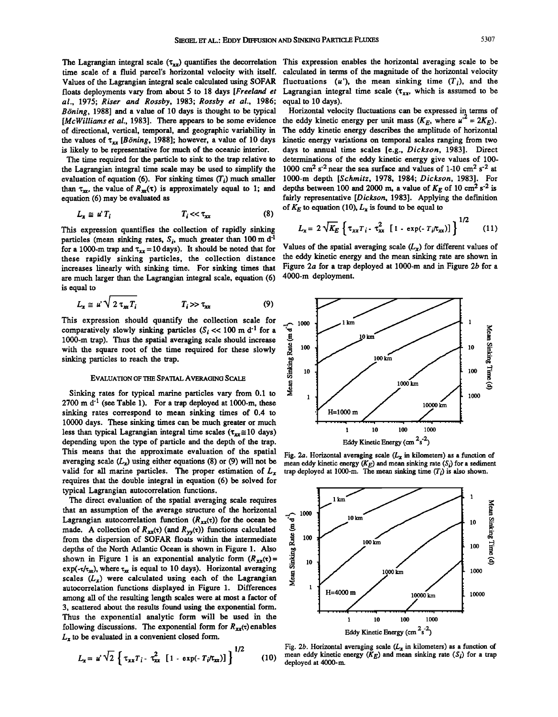time scale of a fluid parcel's horizontal velocity with itself.<br>Values of the Lagrangian integral scale calculated using SOFAR al., 1975; Riser and Rossby, 1983; Rossby et al., 1986; Böning, 1988] and a value of 10 days is thought to be typical *Böning*, 1988] and a value of 10 days is thought to be typical Horizontal velocity fluctuations can be expressed in terms of  $[McWilliams]$ . There appears to be some evidence the eddy kinetic energy per unit mass  $(K_E)$ , where  $u$ [McWilliams et al., 1983]. There appears to be some evidence the eddy kinetic energy per unit mass  $(K_E,$  where  $u^2 = 2K_E$ ). <br>of directional, vertical, temporal, and geographic variability in The eddy kinetic energy descri the values of  $\tau_{xx}$  [*Böning*, 1988]; however, a value of 10 days is likely to be representative for much of the oceanic interior.

the Lagrangian integral time scale may be used to simplify the evaluation of equation  $(6)$ . For sinking times  $(T_i)$  much smaller than  $\tau_{xx}$ , the value of  $R_{xx}(\tau)$  is approximately equal to 1; and equation (6) may be evaluated as

$$
L_{\mathbf{x}} \cong u^{\mathsf{T}} I_i \qquad T_i \ll \tau_{\mathbf{x}} \tag{8}
$$

This expression quantifies the collection of rapidly sinking particles (mean sinking rates,  $S_i$ , much greater than 100 m d<sup>-1</sup> for a 1000-m trap and  $\tau_{xx} = 10 \text{ days}$ ). It should be noted that for Values of the spatial averaging scale ( $L_x$ ) for different values of  $\tau_{xx} = 10 \text{ days}$ ). It should be noted that for Values of the spatial averaging scal these rapidly sinking particles, the collection distance the eddy kinetic energy and the mean sinking rate are shown in<br>increases linearly with sinking time. For sinking times that Figure 2a for a trap deployed at 1000-m a increases linearly with sinking time. For sinking times that Figure 2*a* for a trap of are much larger than the Lagrangian integral scale, equation (6) 4000-m deployment. are much larger than the Lagrangian integral scale, equation (6) **is equal to** 

$$
L_{\mathbf{x}} \cong \mathbf{u} \cdot \sqrt{2} \tau_{\mathbf{x}} T_i \qquad T_i \gg \tau_{\mathbf{x}} \tag{9}
$$

**This expression should quantify the collection scale for**  comparatively slowly sinking particles  $(S_i \ll 100 \text{ m d}^{-1}$  for a **1000-m trap). Thus the spatial averaging scale should increase with the square root of the time required for these slowly sinking particles to reach the trap.** 

## **EVALUATION OF THE SPATIAL AVERAGING SCALE**

**Sinking rates for typical marine particles vary from 0.1 to**  2700 m d<sup>-1</sup> (see Table 1). For a trap deployed at 1000-m, these **sinking rates correspond to mean sinking times of 0.4 to 10000 days. These sinking times can be much greater or much**  less than typical Lagrangian integral time scales  $(\tau_{xx} \approx 10 \text{ days})$ **depending upon the type of particle and the depth of the trap. requires that the double integral in equation (6) be solved for typical Lagrangian autocorrelation functions.**  This means that the approximate evaluation of the spatial Fig. 2a. Horizontal averaging scale ( $L_x$  in kilometers) as a function of averaging scale ( $L_x$ ) using either equations (8) or (9) will not be  $L_y$  mean eddy kinet averaging scale ( $L_x$ ) using either equations (8) or (9) will not be mean eddy kinetic energy ( $K_E$ ) and mean sinking rate ( $S_i$ ) for a sediment valid for all marine particles. The proper estimation of  $L_x$  trap deployed

**The direct evaluation of the spatial averaging scale requires that an assumption of the average structure of the horizontal**  Lagrangian autocorrelation function  $(R_{xx}(\tau))$  for the ocean be made. A collection of  $R_{xx}(\tau)$  (and  $R_{yy}(\tau)$ ) functions calculated **from the dispersion of SOFAR floats within the intermediate depths of the North Atlantic Ocean is shown in Figure 1. Also**  shown in Figure 1 is an exponential analytic form  $(R_{xx}(t))$  =  $exp(-\tau/\tau_{xx})$ , where  $\tau_{xx}$  is equal to 10 days). Horizontal averaging scales  $(L_x)$  were calculated using each of the Lagrangian **autocorrelation functions displayed in Figure 1. Differences among all of the resulting length scales were at most a factor of 3, scattered about the results found using the exponential form. Thus the exponential analytic form will be used in the**  following discussions. The exponential form for  $R_{xx}(\tau)$  enables  $L<sub>x</sub>$  to be evaluated in a convenient closed form.

$$
L_{x} = u' \sqrt{2} \left\{ \tau_{xx} T_{i} - \tau_{xx}^{2} [1 - \exp(-T_{i}/\tau_{xx})] \right\}^{1/2}
$$
 (10)

The Lagrangian integral scale  $(\tau_{xx})$  quantifies the decorrelation This expression enables the horizontal averaging scale to be time scale of a fluid parcel's horizontal velocity with itself. calculated in terms of the ma Values of the Lagrangian integral scale calculated using SOFAR fluctuations (u'), the mean sinking time  $(T_i)$ , and the floats deployments vary from about 5 to 18 days [*Freeland et Lagrangian integral time scale*  $(\tau_{xx}$ , **Lagrangian integral time scale (** $\tau_{xx}$ **, which is assumed to be equal to 10 days).** 

The eddy kinetic energy describes the amplitude of horizontal kinetic energy variations on temporal scales ranging from two is likely to be representative for much of the oceanic interior. days to annual time scales [e.g., *Dickson*, 1983]. Direct The time required for the particle to sink to the trap relative to determinations of the eddy kine determinations of the eddy kinetic energy give values of  $100-1000$  cm<sup>2</sup> s<sup>-2</sup> near the sea surface and values of  $1-10$  cm<sup>2</sup> s<sup>-2</sup> at 1000-m depth [*Schmitz*, 1978, 1984; *Dickson*, 1983]. For depths between 100 and 2000 m, a value of  $K_E$  of 10 cm<sup>2</sup> s<sup>-2</sup> is fairly representative [Dickson, 1983]. Applying the definition of  $K_E$  to equation (10),  $L_x$  is found to be equal to

$$
L_x \cong u^T i
$$
  
\n
$$
I_i << \tau_{xx}
$$
  
\n
$$
L_x = 2\sqrt{K_E} \left\{ \tau_{xx} T_i - \tau_{xx}^2 \left[ 1 - \exp(-T_i/\tau_{xx}) \right] \right\}^{1/2}
$$
 (11)  
\n
$$
L_x = 2\sqrt{K_E} \left\{ \tau_{xx} T_i - \tau_{xx}^2 \left[ 1 - \exp(-T_i/\tau_{xx}) \right] \right\}^{1/2}
$$



trap deployed at 1000-m. The mean sinking time  $(T_i)$  is also shown.



Fig. 2b. Horizontal averaging scale  $(L_x$  in kilometers) as a function of (*N*) mean eddy kinetic energy  $(K_E)$  and mean sinking rate  $(S_i)$  for a trap deployed at 4000-m.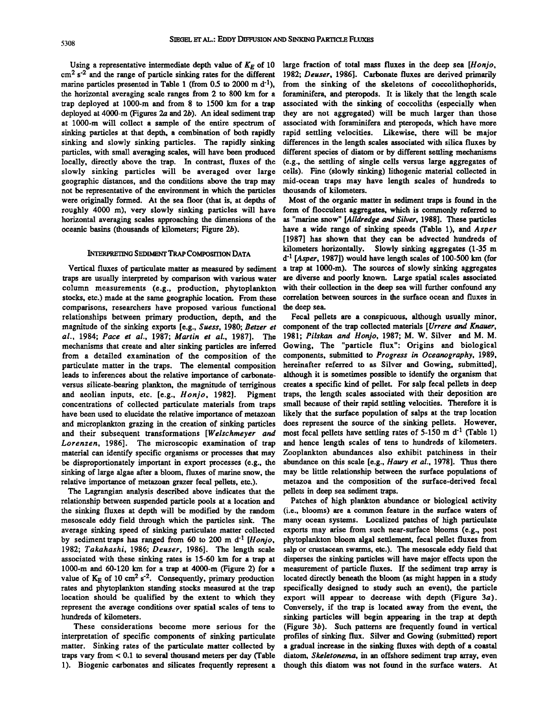Using a representative intermediate depth value of  $K_F$  of 10 **cm 2 s -2 and the range of particle sinking rates for the different marine particles presented in Table 1 (from 0.5 to 2000 m d-l), the horizontal averaging scale ranges from 2 to 800 km for a trap deployed at 1000-m and from 8 to 1500 km for a trap**  deployed at 4000-m (Figures 2a and 2b). An ideal sediment trap **at 1000-m will collect a sample of the entire spectrum of sinking particles at that depth, a combination of both rapidly sinking and slowly sinking particles. The rapidly sinking particles, with small averaging scales, will have been produced locally, directly above the trap. In contrast, fluxes of the slowly sinking particles will be averaged over large geographic distances, and the conditions above the trap may not be representative of the environment in which the particles were originally formed. At the sea floor (that is, at depths of roughly 4000 m), very slowly sinking particles will have horizontal averaging scales approaching the dimensions of the oceanic basins (thousands of kilometers; Figure 2b).** 

## **INTERPRETING SEDIMENT TRAP COMPOSITION DATA**

**Vertical fluxes of particulate matter as measured by sediment traps are usually interpreted by comparison with various water column measurements (e.g., production, phytoplankton stocks, etc.) made at the same geographic location. From these comparisons, researchers have proposed various functional relationships between primary production, depth, and the magnitude of the sinking exports [e.g., Suess, 1980; Betzer et al., 1984; Pace et al., 1987; Martin et al., 1987]. The mechanisms that create and alter sinking particles are inferred from a detailed examination of the composition of the particulate matter in the traps. The elemental composition leads to inferences about the relative importance of carbonateversus silicate-bearing plankton, the magnitude of terriginous and aeolian inputs, etc. [e.g., Honjo, 1982]. Pigment concentrations of collected particulate materials from traps have been used to elucidate the relative importance of metazoan and microplankton grazing in the creation of sinking particles and their subsequent transformations [Welschmeyer and Lorenzen, 1986]. The microscopic examination of trap material can identify specific organisms or processes that may be disproportionately important in export processes (e.g., the sinking of large algae after a bloom, fluxes of marine snow, the relative importance of metazoan grazer fecal pellets, etc.).** 

**The Lagrangian analysis described above indicates that the relationship between suspended particle pools at a location and the sinking fluxes at depth will be modified by the random mesoscale eddy field through which the particles sink. The average sinking speed of sinking particulate matter collected**  by sediment traps has ranged from 60 to 200 m d<sup>-1</sup> [*Honjo*, **1982; Takahashi, 1986; Deuser, 1986]. The length scale associated with these sinking rates is 15-60 km for a trap at 1000-m and 60-120 km for a trap at 4000-m (Figure 2) for a**  value of  $K_F$  of 10 cm<sup>2</sup> s<sup>-2</sup>. Consequently, primary production **rates and phytoplankton standing stocks measured at the trap location should be qualified by the extent to which they represent the average conditions over spatial scales of tens to hundreds of kilometers.** 

**These considerations become more serious for the interpretation of specific components of sinking particulate matter. Sinking rates of the particulate matter collected by traps vary from < 0.1 to several thousand meters per day (Table 1). Biogenic carbonates and silicates frequently represent a** 

**large fraction of total mass fluxes in the deep sea [Honjo, 1982; Deuser, 1986]. Carbonate fluxes are derived primarily from the sinking of the skeletons of coccolithophorids, foraminifera, and pteropods. It is likely that the length scale associated with the sinking of coccoliths (especially when they are not aggregated) will be much larger than those associated with foraminifera and pteropods, which have more rapid settling velocities. Likewise, there will be major differences in the length scales associated with silica fluxes by different species of diatom or by different settling mechanisms (e.g., the settling of single cells versus large aggregates of cells). Fine (slowly sinking) lithogenic material collected in mid-ocean traps may have length scales of hundreds to thousands of kilometers.** 

**Most of the organic matter in sediment traps is found in the form of flocculent aggregates, which is commonly referred to as "marine snow" [Alldredge and Silver, 1988]. These particles have a wide range of sinking speeds (Table 1), and Asper [1987] has shown that they can be advected hundreds of kilometers horizontally. Slowly sinking aggregates (1-35 m d -1 [Asper, 1987]) would have length scales of 100-500 km (for a trap at 1000-m). The sources of slowly sinking aggregates are diverse and poorly known. Large spatial scales associated with their collection in the deep sea will further confound any correlation between sources in the surface ocean and fluxes in the deep sea.** 

**Fecal pellets are a conspicuous, although usually minor, component of the trap collected materials [Urrere and Knauer, 1981; Pilskan and Honjo, 1987; M. W. Silver and M. M. Gowing, The "particle flux"' Origins and biological components, submitted to Progress in Oceanography, 1989, hereinafter referred to as Silver and Gowing, submitted], although it is sometimes possible to identify the organism that creates a specific kind of pellet. For salp fecal pellets in deep traps, the length scales associated with their deposition are small because of their rapid settling velocities. Therefore it is likely that the surface population of salps at the trap location**  does represent the source of the sinking pellets. However, most fecal pellets have settling rates of 5-150 m d<sup>-1</sup> (Table 1) **and hence length scales of tens to hundreds of kilometers. Zooplankton abundances also exhibit patchiness in their abundance on this scale [e.g., Haury et al., 1978]. Thus there may be little relationship between the surface populations of metazoa and the composition of the surface-derived fecal pellets in deep sea sediment traps.** 

**Patches of high plankton abundance or biological activity (i.e., blooms) are a common feature in the surface waters of many ocean systems. Localized patches of high particulate exports may arise from such near-surface blooms (e.g., post phytoplankton bloom algal settlement, fecal pellet fluxes from salp or crustacean swarms, etc.). The mesoscale eddy field that disperses the sinking particles will have major effects upon the measurement of particle fluxes. If the sediment trap array is located directly beneath the bloom (as might happen in a study specifically designed to study such an event), the particle export will appear to decrease with depth (Figure 3a). Conversely, if the trap is located away from the event, the sinking particles will begin appearing in the trap at depth (Figure 3b). Such patterns are frequently found in vertical profiles of sinking flux. Silver and Gowing (submitted) report a gradual increase in the sinking fluxes with depth of a coastal diatom, Skeletonerna, in an offshore sediment trap array, even though this diatom was not found in the surface waters. At**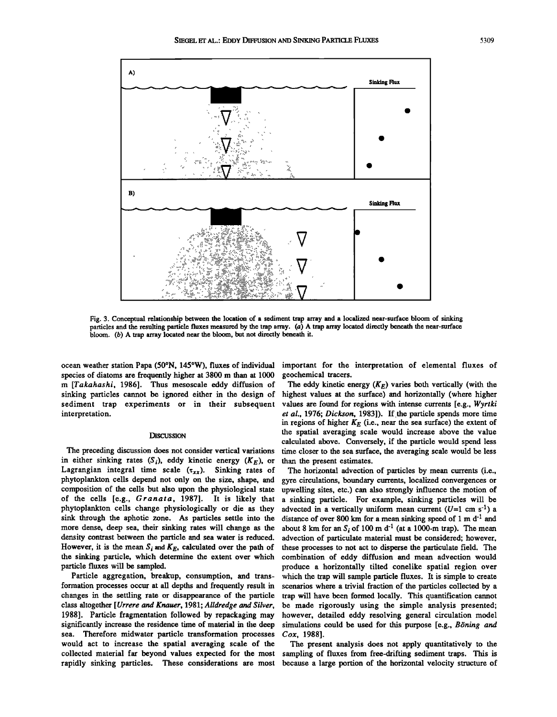

**Fig. 3. Conceptual relationship between the location of a sediment trap array and a localized near-surface bloom of sinking particles and the resulting particle fluxes measured by the trap array. (a) A trap array located directly beneath the near-surface bloom. (b) A trap array located near the bloom, but not directly beneath it.** 

species of diatoms are frequently higher at 3800 m than at 1000 geochemical tracers.<br>m [Takahashi, 1986]. Thus mesoscale eddy diffusion of The eddy kinetic energy (K<sub>E</sub>) varies both vertically (with the **m [Takahashi, 1986]. Thus mesoscale eddy diffusion of sinking particles cannot be ignored either in the design of** sinking particles cannot be ignored either in the design of highest values at the surface) and horizontally (where higher sediment crap experiments or in their subsequent values are found for regions with intense currents sediment trap experiments or in their subsequent values are found for regions with intense currents [e.g., Wyrtki<br>*et al.*, 1976; *Dickson*, 1983]). If the particle spends more time

in either sinking rates (S<sub>i</sub>), eddy kinetic energy ( $K_E$ ), or than the present estimates.<br>Lagrangian integral time scale ( $\tau_{xx}$ ). Sinking rates of The horizontal advection of particles by mean currents (i.e., Lagrangian integral time scale  $(x_{xx})$ . Sinking rates of phytoplankton cells depend not only on the size, shape, and

sea. Therefore midwater particle transformation processes would act to increase the spatial averaging scale of the **would act to increase the spatial averaging scale of the The present analysis does not apply quantitatively to the collected material far beyond values expected for the most sampling of fluxes from free-drifting sediment traps. This is** 

ocean weather station Papa (50°N, 145°W), fluxes of individual important for the interpretation of elemental fluxes of <br>species of diatoms are frequently higher at 3800 m than at 1000 geochemical tracers.

et al., 1976; Dickson, 1983]). If the particle spends more time in regions of higher  $K_E$  (i.e., near the sea surface) the extent of **DISCUSSION the spatial averaging scale would increase above the value calculated above. Conversely, if the particle would spend less**  The preceding discussion does not consider vertical variations time closer to the sea surface, the averaging scale would be less in either sinking rates  $(S_i)$ , eddy kinetic energy  $(K_E)$ , or than the present estimates.

**phytoplankton cells depend not only on the size, shape, and gyre circulations, boundary currents, localized convergences or**  composition of the cells but also upon the physiological state upwelling sites, etc.) can also strongly influence the motion of the cells [e.g., *Granata*, 1987]. It is likely that a sinking particle. For example, sinking of the cells [e.g., *Granata*, 1987]. It is likely that a sinking particle. For example, sinking particles will be phytoplankton cells change physiologically or die as they advected in a vertically uniform mean current (*U* phytoplankton cells change physiologically or die as they advected in a vertically uniform mean current (U=1 cm s<sup>-1</sup>) a<br>sink through the aphotic zone. As particles settle into the distance of over 800 km for a mean sinkin sink through the aphotic zone. As particles settle into the distance of over 800 km for a mean sinking speed of 1 m d<sup>-1</sup> and more dense, deep sea, their sinking rates will change as the about 8 km for an S<sub>i</sub> of 100 m d<sup></sup> more dense, deep sea, their sinking rates will change as the about 8 km for an  $S_i$  of 100 m d<sup>-1</sup> (at a 1000-m trap). The mean density contrast between the particle and sea water is reduced. advection of particulate mate density contrast between the particle and sea water is reduced. advection of particulate material must be considered; however, <br>However, it is the mean S<sub>i</sub> and K<sub>E</sub>, calculated over the path of these processes to not act However, it is the mean  $S_i$  and  $K_E$ , calculated over the path of these processes to not act to disperse the particulate field. The <br>the sinking particle, which determine the extent over which combination of eddy diffusi **the sinking particle, which determine the extent over which combination of eddy diffusion and mean advection would particle fluxes will be sampled. produce a horizontally tilted conelike spatial region over Particle aggregation, breakup, consumption, and trans- which the trap will sample particle fluxes. It is simple to create formation processes occur at all depths and frequently result in scenarios where a trivial fraction of the particles collected by a**  changes in the settling rate or disappearance of the particle trap will have been formed locally. This quantification cannot class altogether [Urrere and Knauer, 1981; Alldredge and Silver, be made rigorously using the sim **class altogether [Urrere and Knauer, 1981; Alldredge and Silver, be made rigorously using the simple analysis presented;**  1988]. Particle fragmentation followed by repackaging may however, detailed eddy resolving general circulation model<br>significantly increase the residence time of material in the deep simulations could be used for this purp simulations could be used for this purpose [e.g., *Böning and Cox*, 1988].

because a large portion of the horizontal velocity structure of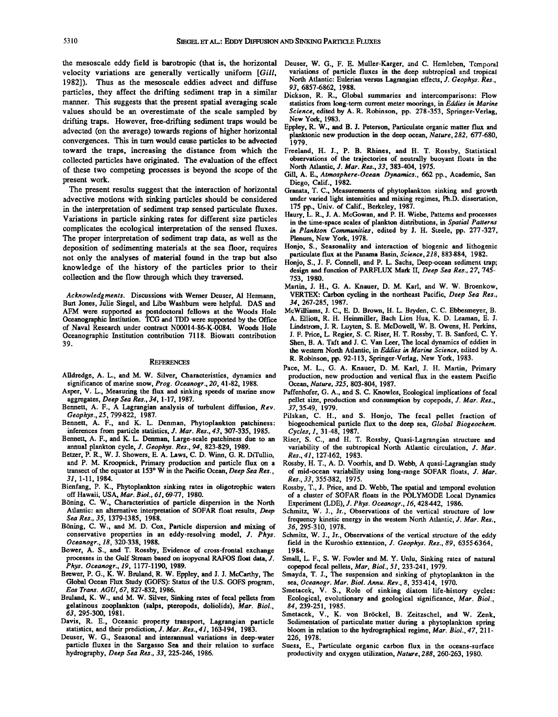the mesoscale eddy field is barotropic (that is, the horizontal Deuser, W. G., F. E. Muller-Karger, and C. Hemleben, Temporal *velocity* variations are generally vertically uniform [Gill. variations of particle fluxes in t velocity variations are generally vertically uniform [Gill, variations of particle fluxes in the deep subtropical and tropical<br>1982) Thus as the mesoscale eddies advect and diffuse North Atlantic: Eulerian versus Lagrangia 1982]). Thus as the mesoscale eddies advect and diffuse North Atlantic: Euleria<br>particles, they affect the drifting sediment trap in a similar Dickson **B R** Glob particles, they affect the drifting sediment trap in a similar Dickson, R. R., Global summaries and intercomparisons: Flow<br>manner. This suggests that the present spatial averaging scale statistics from long-term current me **values should be an overestimate of the scale sampled by Science, edited by A. R. Robinson, pp. 278-353, Springer-Verlag, 278-353, Springer-Verlag, 278-353, Springer-Verlag, 278-353, Springer-Verlag, 278-353, Springer-Ver** drifting traps. However, free-drifting sediment traps would be advected (on the average) towards regions of higher horizontal **convergences.** This in turn would cause particles to be advected 1979.<br> **convergences.** This increasing the distance from which the Freeland, H. J., P. B. Rhines, and H. T. Rossby, Statistical **toward the traps, increasing the distance from which the Freeland, H. J., P. B. Rhines, and H. T. Rossby, Statistical**  collected particles have originated. The evaluation of the effect observations of the trajectories of neutrally but of these two competing processes is beyond the scope of the  $\frac{N}{2}$ . All antic, J. Mar. Res., 33, 383-40

The present results suggest that the interaction of horizontal advective motions with sinking particles should be considered under varied light intensities and mixing<br>in the interpretation of sediment tran sensed particulate fluxes 175 pp., Univ. of Calif., Berkeley, 1987. in the interpretation of sediment trap sensed particulate fluxes.<br>Variations in particle sinking rates for different size particles **Variations in particle sinking rates for different size particles** in the time-space scales of plankton distributions, in Spatial Patterns complicates the ecological interpretation of the sensed fluxes. in Plankton Commun The proper interpretation of sediment trap data, as well as the Plenum, New York, 1978.<br>deposition of sedimenting materials at the sea floor, requires Honjo, S., Seasonality and interaction of biogenic and lithogenic deposition of sedimenting materials at the sea floor, requires Honjo, S., Seasonality and interaction of biogenic and lithogen not only the analyses of material found in the trap but also particulate flux at the Panama Basin, Science, 216, 883-884, 1982.<br> **RECONNET IN ARTION ARTION** SERVIEW ARTION ARTICULATED AND PROPERTY MARTIC Deep See 27, 745 collection and the flow through which they traversed.

Acknowledgments. Discussions with Werner Deuser, Al Hermann, VERTEX: Carbon **cycling in the Northeast Pacific,** <br>31 Jones, Julie Siegel, and Libe Washburn were helpful. DAS and 34, 267-285, 1987. Burt Jones, Julie Siegel, and Libe Washburn were helpful. DAS and 34, 267-285, 1987.<br>AFM were supported as postdoctoral fellows at the Woods Hole McWilliams, J. C., E. D. Brown, H. L. Bryden, C. C. Ebbesmeyer, B. **of Naval Research under contract N00014-86-K-0084. Woods Hole Oceanographic Institution contribution 7118. Biowatt contribution 39.** 

### **REFERENCES**

- **Alldredge, A. L., and M. W. Silver, Characteristics, dynamics and**
- **significance of marine snow, Prog. Oceanogr., 20, 41-82, 1988.**
- Bennett, A. F., A Lagrangian analysis of turbulent diffusion, Rev. Geophys., 25, 799-822, 1987.
- 
- inferences from particle statistics, *J. Mar. Res.*, 43, 307-335, 1985. Bennett, A. F., and K. L. Denman, Large-scale patchiness due to an ennett, A. F., and K. L. Denman, Large-scale patchiness due to an Riser, S. C., and H. T. Rossby, Quasi-Lagrangian structure and annual plankton cycle, J. Geophys. Res., 94, 823-829, 1989. variability of the subtropical No
- Betzer, P. R., W. J. Showers, E. A. Laws, C. D. Winn, G. R. DiTullio, Res., 41, 127-162, 1983.<br>and P. M. Kroopnick, Primary production and particle flux on a Rossby, H. T., A. D. Voorhis, and D. Webb, A quasi-Lagrangian st and P. M. Kroopnick, Primary production and particle flux on a transect of the equator at 153° W in the Pacific Ocean, *Deep Sea Res.*,
- **31, 1-11, 1984. Res.,33, 355-382, 1975. Bienfang, P. K., Phytoplankton sinking rates in oligotrophic waters Rossby, T., J. Price, and D. Webb, The spatial and temporal evolution**
- öning, C. W., Characteristics of particle dispersion in the North Experiment (LDE), J. Phys. Oceanogr., 16, 428442, 1986.<br>Atlantic: an alternative interpretation of SOFAR float results, *Deep* Schmitz, W. J., Jr., Observat **Atlantic: an alternative interpretation of SOFAR float results, Deep Schmitz, W. J., Jr., Observations of the vertical structure of low**
- Böning, C. W., and M. D. Cox, Particle dispersion and mixing of conservative properties in an eddy-resolving model, J. Phys.
- Bower, A. S., and T. Rossby, Evidence of cross-frontal exchange processes in the Gulf Stream based on isopycnal RAFOS float data, J. **processes inthe Gulf Stream based on isopycnal RAFOS float data, J. Small, L. F., S. W. Fowler and M. Y. Unlu, Sinking rates of natural**
- Phys. Oceanogr., 19, 1177-1190, 1989.<br>Brewer, P. G., K. W. Bruland, R. W. Eppley, and J. J. McCarthy, The Smayda, T. J., The suspension and sinking of phyto **Global Ocean Flux Study (GOFS): Status of the U.S. GOFS program, Eos Trans. AGU, 67, 827-832, 1986.**
- **Bmland, K. W., and M. W. Silver, Sinking rates of fecal pellets from gelatinous zooplankton (salps, pteropods, doliolids), Mar. Biol., 63, 295-300, 1981.**
- **Davis, R. E., Oceanic property transport, Lagrangian particle statistics, and their prediction, J. Mar. Res., 41, 163-194, 1983.**
- **Deuser, W. G., Seasonal and interannual variations in deep-water particle fluxes in the Sargasso Sea and their relation to surface Suess, E., Particulate organic carbon flux in the oceans-surface**
- 
- statistics from long-term current meter moorings, in *Eddies in Marine*<br>Science, edited by A. R. Robinson, pp. 278-353, Springer-Verlag,
- **Eppley, R. W., and B. J. Peterson, Particulate organic matter flux and**  planktonic new production in the deep ocean, Nature, 282, 677-680, <sup>1979</sup>.
- 
- of these two competing processes is beyond the scope of the Gill, A. E., Atmosphere-Ocean Dynamics., 662 pp., Academic, San <br>Diego, Calif., 1982.
	- Granata, T. C., Measurements of phytoplankton sinking and growth under varied light intensities and mixing regimes, Ph.D. dissertation,
	- **Haury, L. R., J. A. McGowan, and P. H. Wiebe, Patterns and processes**  in Plankton Communities, edited by J. H. Steele, pp. 277-327, Plenum, New York, 1978.
	-
	- design and function of PARFLUX Mark II, *Deep Sea Res.*, 27, 745-<br>753, 1980.
	- **Martin, J. H., G. A. Knauer, D. M. Karl, and W. W. Broenkow,**
- **AFM were supported as postdoctoral fellows at the Woods Hole McWilliams, J.C., E. D. Brown, H. L. Bryden, C. C. Ebbesmeyer, B.**  Oceanographic Institution. TCG and TDD were supported by the Office A. Elliott, R. H. Heinmiller, Bach Lien Hua, R. D. Leaman, E. J. **Lindstrom, J. R. Luyten, S. E. McDowell, W. B. Owens, H. Perkins, J. F. Price, L. Regier, S.C. Riser, H. T. Rossby, T. B. Sanford, C. Y. Shen, B. A. Taft and J. C. Van Leer, The local dynamics of eddies in the western North Atlantic, in Eddies in Marine Science, edited by A. R. Robinson, pp. 92-113, Springer-Verlag, New York, 1983.** 
	- **Pace, M. L., G. A. Knauer, D. M. Karl, J. H. Martin, Primary production, new production and vertical flux in the eastern Pacific Ocean, Nature, 325, 803-804, 1987.**
- **Asper, V. L., Measuring the flux and sinking speeds of marine snow Paffenhofer, G.A., and S.C. Knowles, Ecological implications of fecal**  pellet size, production and consumption by copepods, J. Mar. Res., 37, 3549, 1979.
- Geophys., 25, 799-822, 1987. Pilskan, C. H., and S. Honjo, The fecal pellet fraction of **Bennett, A. F., and K. L. Denman, Phytoplankton patchiness:** biogeochemical particle flux to the deep sea, *Global Biogeochem*. biogeochemical particle flux to the deep sea, Global Biogeochem.<br>Cycles, 1, 31-48, 1987.
	- variability of the subtropical North Atlantic circulation, J. Mar. Res., 41, 127-162, 1983.
- transect of the equator at 153° W in the Pacific Ocean, *Deep Sea Res.*, of mid-ocean variability using long-range SOFAR floats, J. Mar.<br> *Res.* 33 355382 1975.
- off Hawaii, USA, Mar. Biol., 61, 69-77, 1980. of a cluster of SOFAR floats in the POLYMODE Local Dynamics<br>Böning, C. W., Characteristics of particle dispersion in the North Experiment (LDE), J. Phys. Oceanogr., 16, 428442,
	- frequency kinetic energy in the western North Atlantic, J. Mar. Res., 36, 295-310, 1978.
	- **conservative properties in an eddy-resolving model, J. Phys. Schmitz, W. J., Jr., Observations of the vertical structure of the eddy**  field in the Kuroshio extension, *J. Geophys. Res.*, 89, 63556364, 1984.
		-
		- Smayda, T. J., The suspension and sinking of phytoplankton in the **sea, Oceanogr. Mar. Biol. Annu. Rev., 8, 353414, 1970.**
		- **Smetacek, V. S., Role of sinking diatom life-history cycles: Ecological, evolutionary and geological significance, Mar. Biol., 84, 239-251, 1985.**
		- Smetacek, V., K. von Bröckel, B. Zeitzschel, and W. Zenk, **Sedimentation of particulate matter during a phytoplankton spring bloom in relation to the hydrographical regime, Mar. Biol., 47, 211- 226, 1978.**
		- productivity and oxygen utilization, Nature, 288, 260-263, 1980.